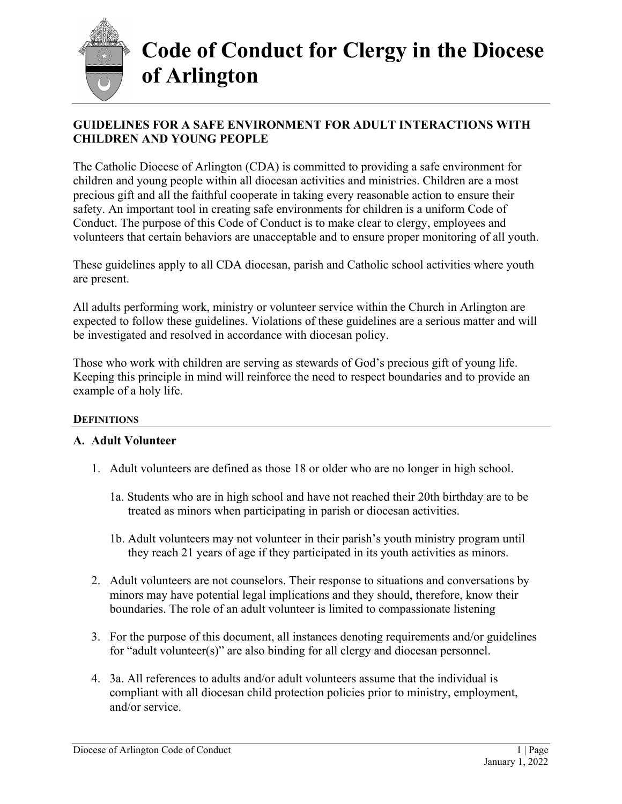

### **GUIDELINES FOR A SAFE ENVIRONMENT FOR ADULT INTERACTIONS WITH CHILDREN AND YOUNG PEOPLE**

The Catholic Diocese of Arlington (CDA) is committed to providing a safe environment for children and young people within all diocesan activities and ministries. Children are a most precious gift and all the faithful cooperate in taking every reasonable action to ensure their safety. An important tool in creating safe environments for children is a uniform Code of Conduct. The purpose of this Code of Conduct is to make clear to clergy, employees and volunteers that certain behaviors are unacceptable and to ensure proper monitoring of all youth.

These guidelines apply to all CDA diocesan, parish and Catholic school activities where youth are present.

All adults performing work, ministry or volunteer service within the Church in Arlington are expected to follow these guidelines. Violations of these guidelines are a serious matter and will be investigated and resolved in accordance with diocesan policy.

Those who work with children are serving as stewards of God's precious gift of young life. Keeping this principle in mind will reinforce the need to respect boundaries and to provide an example of a holy life.

### **DEFINITIONS**

### **A. Adult Volunteer**

- 1. Adult volunteers are defined as those 18 or older who are no longer in high school.
	- 1a. Students who are in high school and have not reached their 20th birthday are to be treated as minors when participating in parish or diocesan activities.
	- 1b. Adult volunteers may not volunteer in their parish's youth ministry program until they reach 21 years of age if they participated in its youth activities as minors.
- 2. Adult volunteers are not counselors. Their response to situations and conversations by minors may have potential legal implications and they should, therefore, know their boundaries. The role of an adult volunteer is limited to compassionate listening
- 3. For the purpose of this document, all instances denoting requirements and/or guidelines for "adult volunteer(s)" are also binding for all clergy and diocesan personnel.
- 4. 3a. All references to adults and/or adult volunteers assume that the individual is compliant with all diocesan child protection policies prior to ministry, employment, and/or service.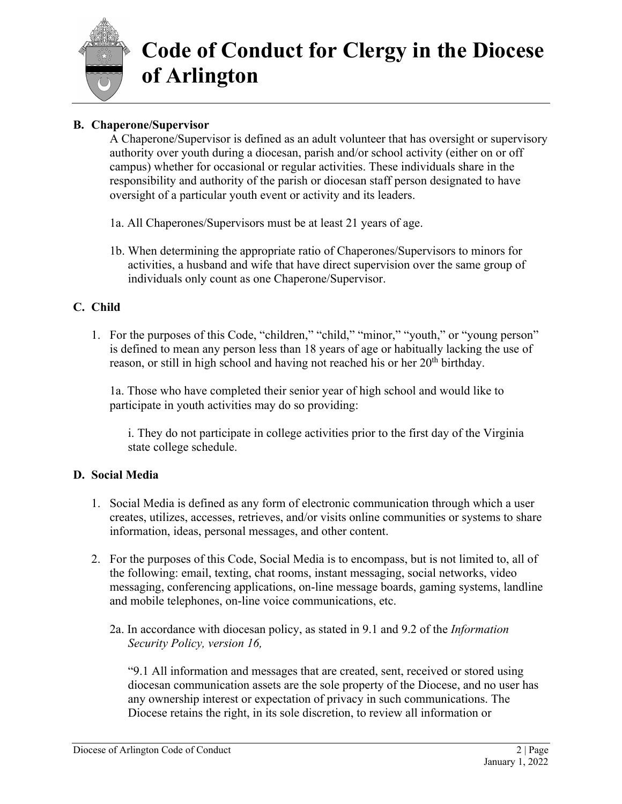

### **B. Chaperone/Supervisor**

A Chaperone/Supervisor is defined as an adult volunteer that has oversight or supervisory authority over youth during a diocesan, parish and/or school activity (either on or off campus) whether for occasional or regular activities. These individuals share in the responsibility and authority of the parish or diocesan staff person designated to have oversight of a particular youth event or activity and its leaders.

- 1a. All Chaperones/Supervisors must be at least 21 years of age.
- 1b. When determining the appropriate ratio of Chaperones/Supervisors to minors for activities, a husband and wife that have direct supervision over the same group of individuals only count as one Chaperone/Supervisor.

### **C. Child**

1. For the purposes of this Code, "children," "child," "minor," "youth," or "young person" is defined to mean any person less than 18 years of age or habitually lacking the use of reason, or still in high school and having not reached his or her 20<sup>th</sup> birthday.

1a. Those who have completed their senior year of high school and would like to participate in youth activities may do so providing:

i. They do not participate in college activities prior to the first day of the Virginia state college schedule.

### **D. Social Media**

- 1. Social Media is defined as any form of electronic communication through which a user creates, utilizes, accesses, retrieves, and/or visits online communities or systems to share information, ideas, personal messages, and other content.
- 2. For the purposes of this Code, Social Media is to encompass, but is not limited to, all of the following: email, texting, chat rooms, instant messaging, social networks, video messaging, conferencing applications, on-line message boards, gaming systems, landline and mobile telephones, on-line voice communications, etc.
	- 2a. In accordance with diocesan policy, as stated in 9.1 and 9.2 of the *Information Security Policy, version 16,*

"9.1 All information and messages that are created, sent, received or stored using diocesan communication assets are the sole property of the Diocese, and no user has any ownership interest or expectation of privacy in such communications. The Diocese retains the right, in its sole discretion, to review all information or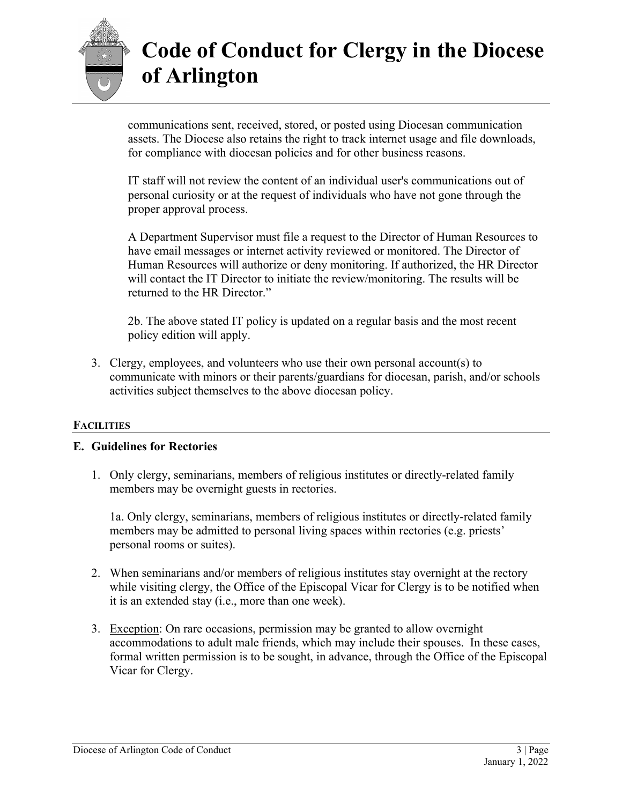

communications sent, received, stored, or posted using Diocesan communication assets. The Diocese also retains the right to track internet usage and file downloads, for compliance with diocesan policies and for other business reasons.

IT staff will not review the content of an individual user's communications out of personal curiosity or at the request of individuals who have not gone through the proper approval process.

A Department Supervisor must file a request to the Director of Human Resources to have email messages or internet activity reviewed or monitored. The Director of Human Resources will authorize or deny monitoring. If authorized, the HR Director will contact the IT Director to initiate the review/monitoring. The results will be returned to the HR Director."

2b. The above stated IT policy is updated on a regular basis and the most recent policy edition will apply.

3. Clergy, employees, and volunteers who use their own personal account(s) to communicate with minors or their parents/guardians for diocesan, parish, and/or schools activities subject themselves to the above diocesan policy.

### **FACILITIES**

### **E. Guidelines for Rectories**

1. Only clergy, seminarians, members of religious institutes or directly-related family members may be overnight guests in rectories.

1a. Only clergy, seminarians, members of religious institutes or directly-related family members may be admitted to personal living spaces within rectories (e.g. priests' personal rooms or suites).

- 2. When seminarians and/or members of religious institutes stay overnight at the rectory while visiting clergy, the Office of the Episcopal Vicar for Clergy is to be notified when it is an extended stay (i.e., more than one week).
- 3. Exception: On rare occasions, permission may be granted to allow overnight accommodations to adult male friends, which may include their spouses. In these cases, formal written permission is to be sought, in advance, through the Office of the Episcopal Vicar for Clergy.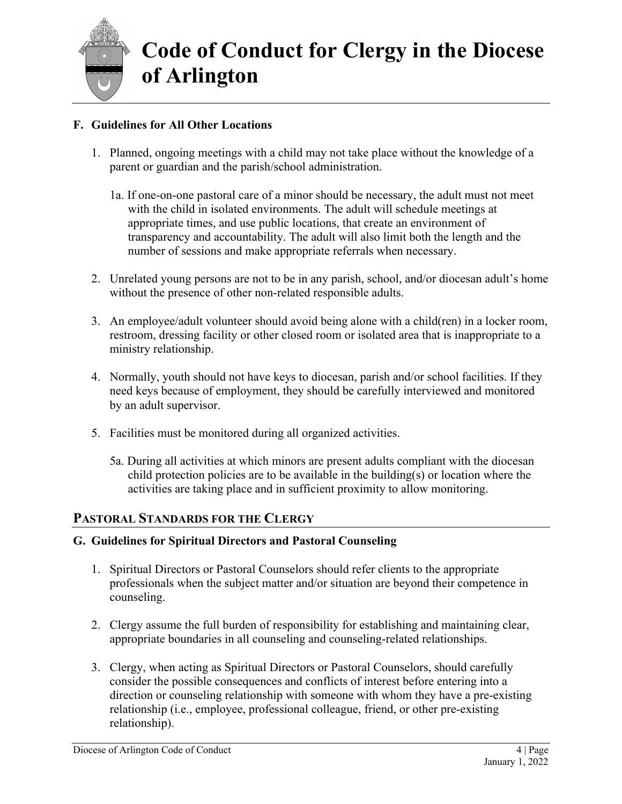

### **F. Guidelines for All Other Locations**

- 1. Planned, ongoing meetings with a child may not take place without the knowledge of a parent or guardian and the parish/school administration.
	- 1a. If one-on-one pastoral care of a minor should be necessary, the adult must not meet with the child in isolated environments. The adult will schedule meetings at appropriate times, and use public locations, that create an environment of transparency and accountability. The adult will also limit both the length and the number of sessions and make appropriate referrals when necessary.
- 2. Unrelated young persons are not to be in any parish, school, and/or diocesan adult's home without the presence of other non-related responsible adults.
- 3. An employee/adult volunteer should avoid being alone with a child(ren) in a locker room, restroom, dressing facility or other closed room or isolated area that is inappropriate to a ministry relationship.
- 4. Normally, youth should not have keys to diocesan, parish and/or school facilities. If they need keys because of employment, they should be carefully interviewed and monitored by an adult supervisor.
- 5. Facilities must be monitored during all organized activities.
	- 5a. During all activities at which minors are present adults compliant with the diocesan child protection policies are to be available in the building(s) or location where the activities are taking place and in sufficient proximity to allow monitoring.

### **PASTORAL STANDARDS FOR THE CLERGY**

### **G. Guidelines for Spiritual Directors and Pastoral Counseling**

- 1. Spiritual Directors or Pastoral Counselors should refer clients to the appropriate professionals when the subject matter and/or situation are beyond their competence in counseling.
- 2. Clergy assume the full burden of responsibility for establishing and maintaining clear, appropriate boundaries in all counseling and counseling-related relationships.
- 3. Clergy, when acting as Spiritual Directors or Pastoral Counselors, should carefully consider the possible consequences and conflicts of interest before entering into a direction or counseling relationship with someone with whom they have a pre-existing relationship (i.e., employee, professional colleague, friend, or other pre-existing relationship).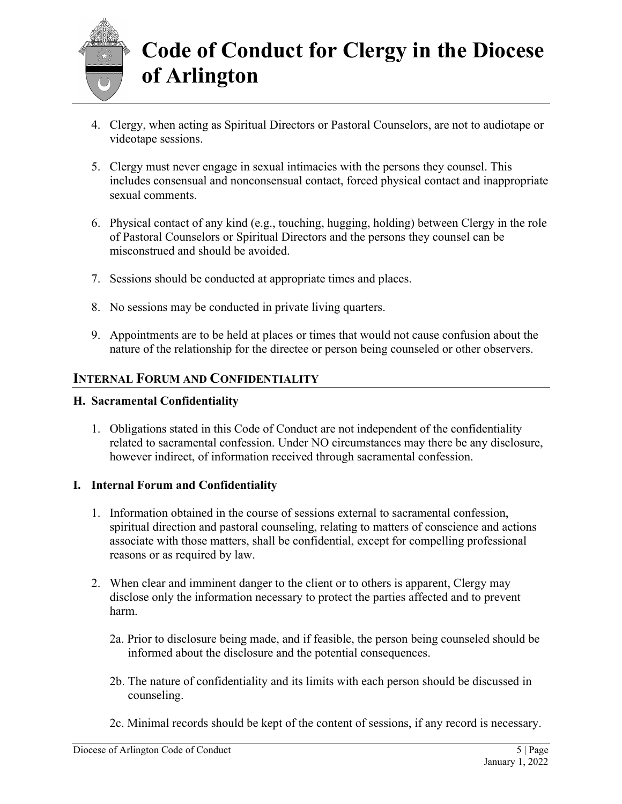

- 4. Clergy, when acting as Spiritual Directors or Pastoral Counselors, are not to audiotape or videotape sessions.
- 5. Clergy must never engage in sexual intimacies with the persons they counsel. This includes consensual and nonconsensual contact, forced physical contact and inappropriate sexual comments.
- 6. Physical contact of any kind (e.g., touching, hugging, holding) between Clergy in the role of Pastoral Counselors or Spiritual Directors and the persons they counsel can be misconstrued and should be avoided.
- 7. Sessions should be conducted at appropriate times and places.
- 8. No sessions may be conducted in private living quarters.
- 9. Appointments are to be held at places or times that would not cause confusion about the nature of the relationship for the directee or person being counseled or other observers.

### **INTERNAL FORUM AND CONFIDENTIALITY**

### **H. Sacramental Confidentiality**

1. Obligations stated in this Code of Conduct are not independent of the confidentiality related to sacramental confession. Under NO circumstances may there be any disclosure, however indirect, of information received through sacramental confession.

### **I. Internal Forum and Confidentiality**

- 1. Information obtained in the course of sessions external to sacramental confession, spiritual direction and pastoral counseling, relating to matters of conscience and actions associate with those matters, shall be confidential, except for compelling professional reasons or as required by law.
- 2. When clear and imminent danger to the client or to others is apparent, Clergy may disclose only the information necessary to protect the parties affected and to prevent harm.
	- 2a. Prior to disclosure being made, and if feasible, the person being counseled should be informed about the disclosure and the potential consequences.
	- 2b. The nature of confidentiality and its limits with each person should be discussed in counseling.
	- 2c. Minimal records should be kept of the content of sessions, if any record is necessary.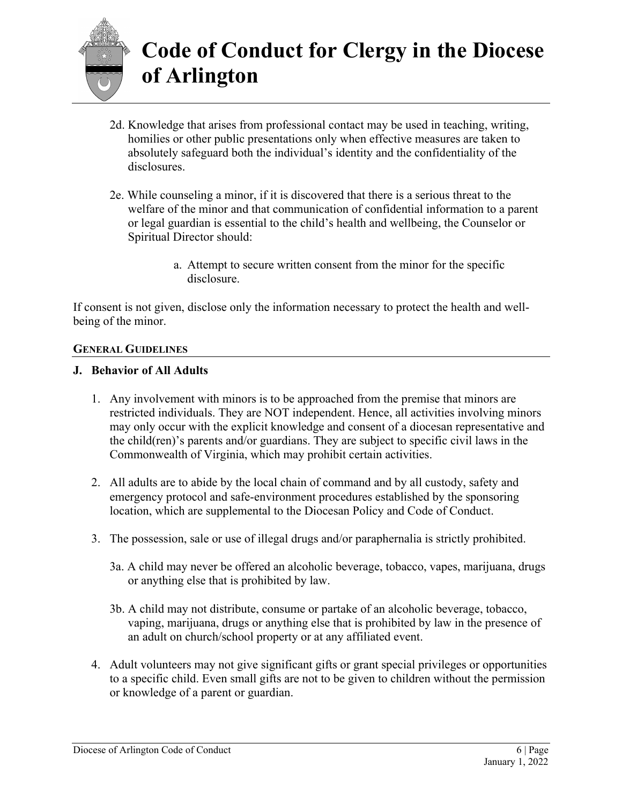

- 2d. Knowledge that arises from professional contact may be used in teaching, writing, homilies or other public presentations only when effective measures are taken to absolutely safeguard both the individual's identity and the confidentiality of the disclosures.
- 2e. While counseling a minor, if it is discovered that there is a serious threat to the welfare of the minor and that communication of confidential information to a parent or legal guardian is essential to the child's health and wellbeing, the Counselor or Spiritual Director should:
	- a. Attempt to secure written consent from the minor for the specific disclosure.

If consent is not given, disclose only the information necessary to protect the health and wellbeing of the minor.

#### **GENERAL GUIDELINES**

#### **J. Behavior of All Adults**

- 1. Any involvement with minors is to be approached from the premise that minors are restricted individuals. They are NOT independent. Hence, all activities involving minors may only occur with the explicit knowledge and consent of a diocesan representative and the child(ren)'s parents and/or guardians. They are subject to specific civil laws in the Commonwealth of Virginia, which may prohibit certain activities.
- 2. All adults are to abide by the local chain of command and by all custody, safety and emergency protocol and safe-environment procedures established by the sponsoring location, which are supplemental to the Diocesan Policy and Code of Conduct.
- 3. The possession, sale or use of illegal drugs and/or paraphernalia is strictly prohibited.
	- 3a. A child may never be offered an alcoholic beverage, tobacco, vapes, marijuana, drugs or anything else that is prohibited by law.
	- 3b. A child may not distribute, consume or partake of an alcoholic beverage, tobacco, vaping, marijuana, drugs or anything else that is prohibited by law in the presence of an adult on church/school property or at any affiliated event.
- 4. Adult volunteers may not give significant gifts or grant special privileges or opportunities to a specific child. Even small gifts are not to be given to children without the permission or knowledge of a parent or guardian.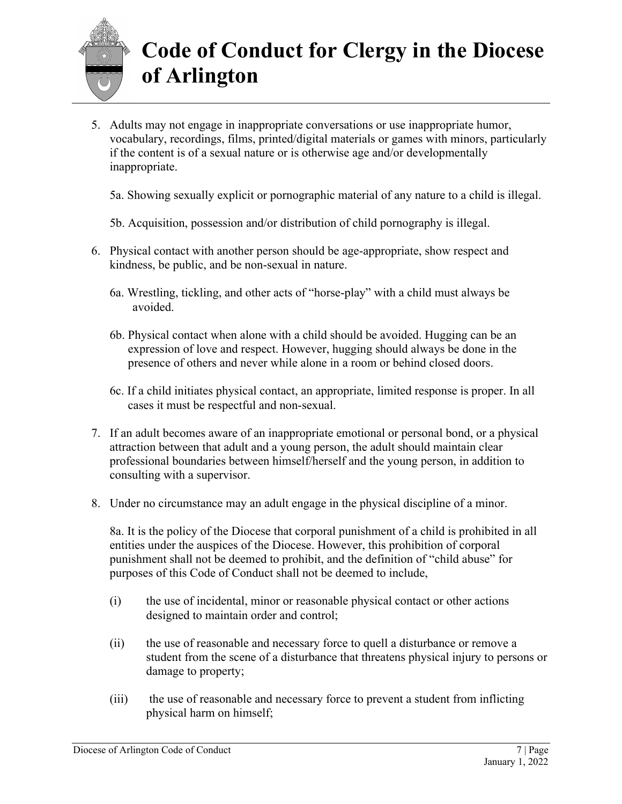

5. Adults may not engage in inappropriate conversations or use inappropriate humor, vocabulary, recordings, films, printed/digital materials or games with minors, particularly if the content is of a sexual nature or is otherwise age and/or developmentally inappropriate.

5a. Showing sexually explicit or pornographic material of any nature to a child is illegal.

- 5b. Acquisition, possession and/or distribution of child pornography is illegal.
- 6. Physical contact with another person should be age-appropriate, show respect and kindness, be public, and be non-sexual in nature.
	- 6a. Wrestling, tickling, and other acts of "horse-play" with a child must always be avoided.
	- 6b. Physical contact when alone with a child should be avoided. Hugging can be an expression of love and respect. However, hugging should always be done in the presence of others and never while alone in a room or behind closed doors.
	- 6c. If a child initiates physical contact, an appropriate, limited response is proper. In all cases it must be respectful and non-sexual.
- 7. If an adult becomes aware of an inappropriate emotional or personal bond, or a physical attraction between that adult and a young person, the adult should maintain clear professional boundaries between himself/herself and the young person, in addition to consulting with a supervisor.
- 8. Under no circumstance may an adult engage in the physical discipline of a minor.

8a. It is the policy of the Diocese that corporal punishment of a child is prohibited in all entities under the auspices of the Diocese. However, this prohibition of corporal punishment shall not be deemed to prohibit, and the definition of "child abuse" for purposes of this Code of Conduct shall not be deemed to include,

- (i) the use of incidental, minor or reasonable physical contact or other actions designed to maintain order and control;
- (ii) the use of reasonable and necessary force to quell a disturbance or remove a student from the scene of a disturbance that threatens physical injury to persons or damage to property;
- (iii) the use of reasonable and necessary force to prevent a student from inflicting physical harm on himself;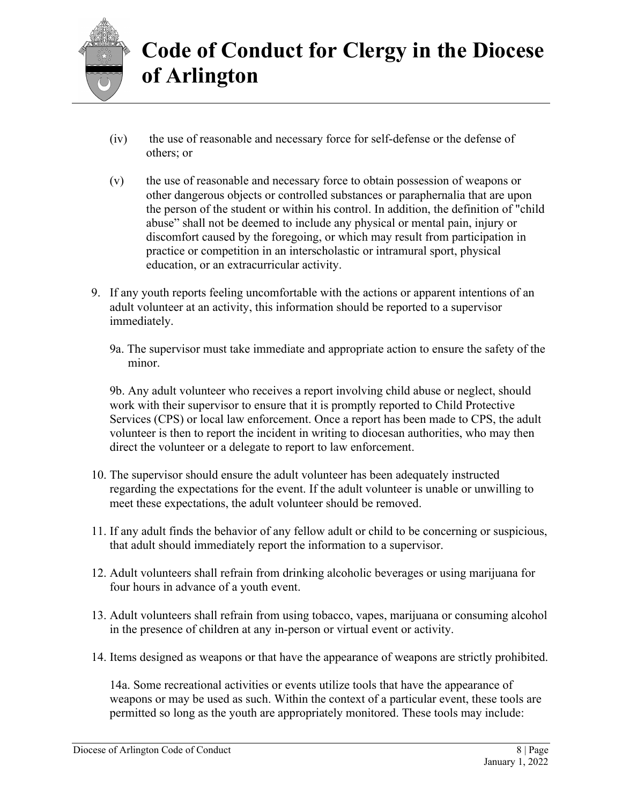

- (iv) the use of reasonable and necessary force for self-defense or the defense of others; or
- (v) the use of reasonable and necessary force to obtain possession of weapons or other dangerous objects or controlled substances or paraphernalia that are upon the person of the student or within his control. In addition, the definition of "child abuse" shall not be deemed to include any physical or mental pain, injury or discomfort caused by the foregoing, or which may result from participation in practice or competition in an interscholastic or intramural sport, physical education, or an extracurricular activity.
- 9. If any youth reports feeling uncomfortable with the actions or apparent intentions of an adult volunteer at an activity, this information should be reported to a supervisor immediately.
	- 9a. The supervisor must take immediate and appropriate action to ensure the safety of the minor.

9b. Any adult volunteer who receives a report involving child abuse or neglect, should work with their supervisor to ensure that it is promptly reported to Child Protective Services (CPS) or local law enforcement. Once a report has been made to CPS, the adult volunteer is then to report the incident in writing to diocesan authorities, who may then direct the volunteer or a delegate to report to law enforcement.

- 10. The supervisor should ensure the adult volunteer has been adequately instructed regarding the expectations for the event. If the adult volunteer is unable or unwilling to meet these expectations, the adult volunteer should be removed.
- 11. If any adult finds the behavior of any fellow adult or child to be concerning or suspicious, that adult should immediately report the information to a supervisor.
- 12. Adult volunteers shall refrain from drinking alcoholic beverages or using marijuana for four hours in advance of a youth event.
- 13. Adult volunteers shall refrain from using tobacco, vapes, marijuana or consuming alcohol in the presence of children at any in-person or virtual event or activity.
- 14. Items designed as weapons or that have the appearance of weapons are strictly prohibited.

14a. Some recreational activities or events utilize tools that have the appearance of weapons or may be used as such. Within the context of a particular event, these tools are permitted so long as the youth are appropriately monitored. These tools may include: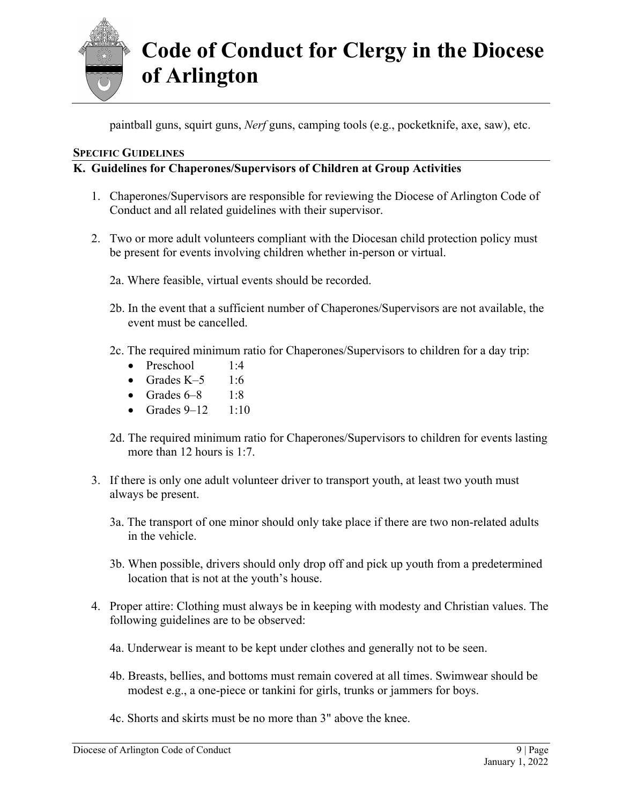

paintball guns, squirt guns, *Nerf* guns, camping tools (e.g., pocketknife, axe, saw), etc.

#### **SPECIFIC GUIDELINES**

### **K. Guidelines for Chaperones/Supervisors of Children at Group Activities**

- 1. Chaperones/Supervisors are responsible for reviewing the Diocese of Arlington Code of Conduct and all related guidelines with their supervisor.
- 2. Two or more adult volunteers compliant with the Diocesan child protection policy must be present for events involving children whether in-person or virtual.
	- 2a. Where feasible, virtual events should be recorded.
	- 2b. In the event that a sufficient number of Chaperones/Supervisors are not available, the event must be cancelled.
	- 2c. The required minimum ratio for Chaperones/Supervisors to children for a day trip:
		- Preschool  $1:4$
		- Grades  $K-5$  1:6
		- Grades  $6-8$  1:8
		- Grades  $9-12$  1:10
	- 2d. The required minimum ratio for Chaperones/Supervisors to children for events lasting more than 12 hours is 1:7.
- 3. If there is only one adult volunteer driver to transport youth, at least two youth must always be present.
	- 3a. The transport of one minor should only take place if there are two non-related adults in the vehicle.
	- 3b. When possible, drivers should only drop off and pick up youth from a predetermined location that is not at the youth's house.
- 4. Proper attire: Clothing must always be in keeping with modesty and Christian values. The following guidelines are to be observed:
	- 4a. Underwear is meant to be kept under clothes and generally not to be seen.
	- 4b. Breasts, bellies, and bottoms must remain covered at all times. Swimwear should be modest e.g., a one-piece or tankini for girls, trunks or jammers for boys.
	- 4c. Shorts and skirts must be no more than 3" above the knee.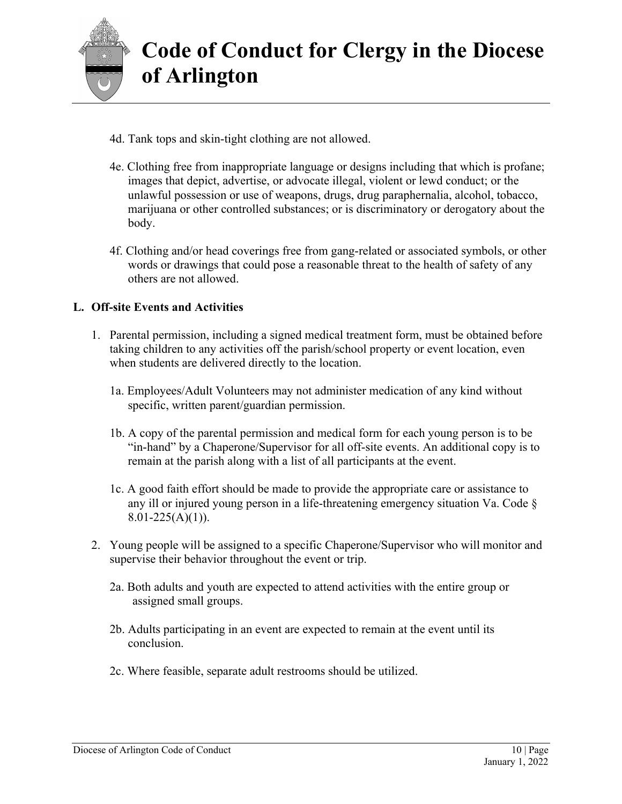

- 4d. Tank tops and skin-tight clothing are not allowed.
- 4e. Clothing free from inappropriate language or designs including that which is profane; images that depict, advertise, or advocate illegal, violent or lewd conduct; or the unlawful possession or use of weapons, drugs, drug paraphernalia, alcohol, tobacco, marijuana or other controlled substances; or is discriminatory or derogatory about the body.
- 4f. Clothing and/or head coverings free from gang-related or associated symbols, or other words or drawings that could pose a reasonable threat to the health of safety of any others are not allowed.

### **L. Off-site Events and Activities**

- 1. Parental permission, including a signed medical treatment form, must be obtained before taking children to any activities off the parish/school property or event location, even when students are delivered directly to the location.
	- 1a. Employees/Adult Volunteers may not administer medication of any kind without specific, written parent/guardian permission.
	- 1b. A copy of the parental permission and medical form for each young person is to be "in-hand" by a Chaperone/Supervisor for all off-site events. An additional copy is to remain at the parish along with a list of all participants at the event.
	- 1c. A good faith effort should be made to provide the appropriate care or assistance to any ill or injured young person in a life-threatening emergency situation Va. Code §  $8.01 - 225(A)(1)$ ).
- 2. Young people will be assigned to a specific Chaperone/Supervisor who will monitor and supervise their behavior throughout the event or trip.
	- 2a. Both adults and youth are expected to attend activities with the entire group or assigned small groups.
	- 2b. Adults participating in an event are expected to remain at the event until its conclusion.
	- 2c. Where feasible, separate adult restrooms should be utilized.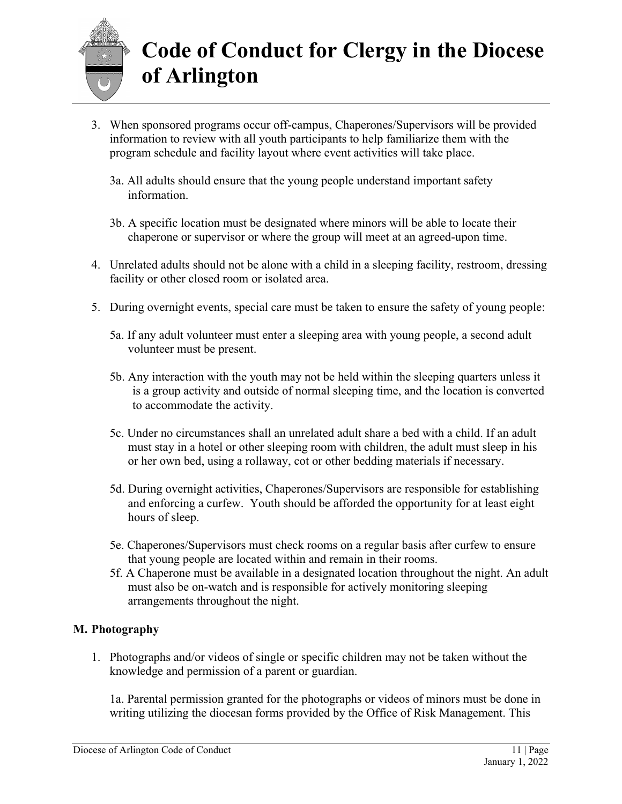

- 3. When sponsored programs occur off-campus, Chaperones/Supervisors will be provided information to review with all youth participants to help familiarize them with the program schedule and facility layout where event activities will take place.
	- 3a. All adults should ensure that the young people understand important safety information.
	- 3b. A specific location must be designated where minors will be able to locate their chaperone or supervisor or where the group will meet at an agreed-upon time.
- 4. Unrelated adults should not be alone with a child in a sleeping facility, restroom, dressing facility or other closed room or isolated area.
- 5. During overnight events, special care must be taken to ensure the safety of young people:
	- 5a. If any adult volunteer must enter a sleeping area with young people, a second adult volunteer must be present.
	- 5b. Any interaction with the youth may not be held within the sleeping quarters unless it is a group activity and outside of normal sleeping time, and the location is converted to accommodate the activity.
	- 5c. Under no circumstances shall an unrelated adult share a bed with a child. If an adult must stay in a hotel or other sleeping room with children, the adult must sleep in his or her own bed, using a rollaway, cot or other bedding materials if necessary.
	- 5d. During overnight activities, Chaperones/Supervisors are responsible for establishing and enforcing a curfew. Youth should be afforded the opportunity for at least eight hours of sleep.
	- 5e. Chaperones/Supervisors must check rooms on a regular basis after curfew to ensure that young people are located within and remain in their rooms.
	- 5f. A Chaperone must be available in a designated location throughout the night. An adult must also be on-watch and is responsible for actively monitoring sleeping arrangements throughout the night.

### **M. Photography**

1. Photographs and/or videos of single or specific children may not be taken without the knowledge and permission of a parent or guardian.

1a. Parental permission granted for the photographs or videos of minors must be done in writing utilizing the diocesan forms provided by the Office of Risk Management. This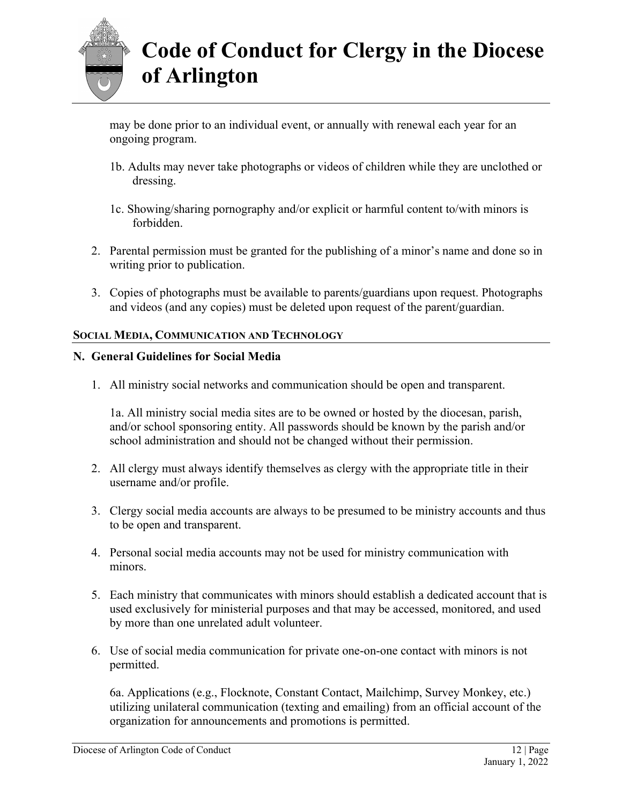

may be done prior to an individual event, or annually with renewal each year for an ongoing program.

- 1b. Adults may never take photographs or videos of children while they are unclothed or dressing.
- 1c. Showing/sharing pornography and/or explicit or harmful content to/with minors is forbidden.
- 2. Parental permission must be granted for the publishing of a minor's name and done so in writing prior to publication.
- 3. Copies of photographs must be available to parents/guardians upon request. Photographs and videos (and any copies) must be deleted upon request of the parent/guardian.

#### **SOCIAL MEDIA, COMMUNICATION AND TECHNOLOGY**

#### **N. General Guidelines for Social Media**

1. All ministry social networks and communication should be open and transparent.

1a. All ministry social media sites are to be owned or hosted by the diocesan, parish, and/or school sponsoring entity. All passwords should be known by the parish and/or school administration and should not be changed without their permission.

- 2. All clergy must always identify themselves as clergy with the appropriate title in their username and/or profile.
- 3. Clergy social media accounts are always to be presumed to be ministry accounts and thus to be open and transparent.
- 4. Personal social media accounts may not be used for ministry communication with minors.
- 5. Each ministry that communicates with minors should establish a dedicated account that is used exclusively for ministerial purposes and that may be accessed, monitored, and used by more than one unrelated adult volunteer.
- 6. Use of social media communication for private one-on-one contact with minors is not permitted.

6a. Applications (e.g., Flocknote, Constant Contact, Mailchimp, Survey Monkey, etc.) utilizing unilateral communication (texting and emailing) from an official account of the organization for announcements and promotions is permitted.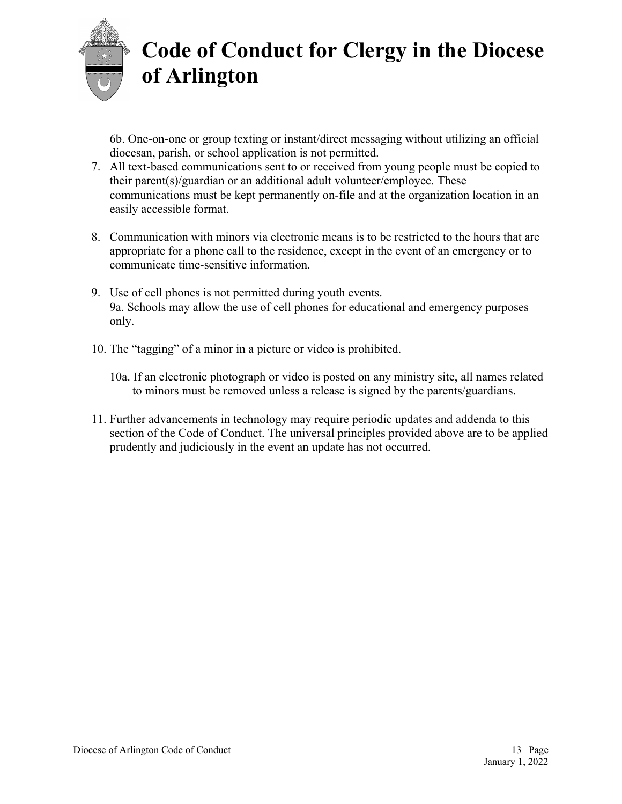

6b. One-on-one or group texting or instant/direct messaging without utilizing an official diocesan, parish, or school application is not permitted.

- 7. All text-based communications sent to or received from young people must be copied to their parent(s)/guardian or an additional adult volunteer/employee. These communications must be kept permanently on-file and at the organization location in an easily accessible format.
- 8. Communication with minors via electronic means is to be restricted to the hours that are appropriate for a phone call to the residence, except in the event of an emergency or to communicate time-sensitive information.
- 9. Use of cell phones is not permitted during youth events. 9a. Schools may allow the use of cell phones for educational and emergency purposes only.
- 10. The "tagging" of a minor in a picture or video is prohibited.
	- 10a. If an electronic photograph or video is posted on any ministry site, all names related to minors must be removed unless a release is signed by the parents/guardians.
- 11. Further advancements in technology may require periodic updates and addenda to this section of the Code of Conduct. The universal principles provided above are to be applied prudently and judiciously in the event an update has not occurred.